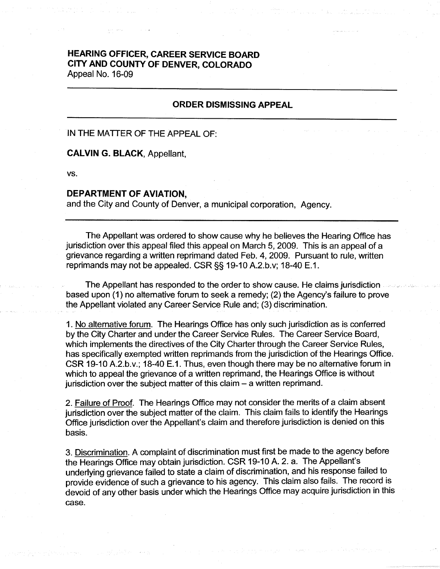# **HEARING OFFICER, CAREER SERVICE BOARD CITY AND COUNTY OF DENVER, COLORADO**  Appeal No. 16-09

## **ORDER DISMISSING APPEAL**

### IN THE MATTER OF THE APPEAL OF:

#### **CALVING. BLACK,** Appellant,

vs.

#### **DEPARTMENT OF AVIATION,**

and the City and County of Denver, a municipal corporation, Agency.

The Appellant was ordered to show cause why he believes the Hearing Office has jurisdiction over this appeal filed this appeal on March 5, 2009. This is an appeal of a grievance regarding a written reprimand dated Feb. 4, 2009. Pursuant to rule, written reprimands may not be appealed. CSR§§ 19-10 A.2.b.v; 18-40 E.1.

The Appellant has responded to the order to show cause. He claims jurisdiction based upon (1) no alternative forum to seek a remedy; (2) the Agency's failure to prove the Appellant violated any Career Service Rule and; (3) discrimination.

1. No alternative forum. The Hearings Office has only such jurisdiction as is conferred by the City Charter and under the Career Service Rules. The Career Service Board, which implements the directives of the City Charter through the Career Service Rules, has specifically exempted written reprimands from the jurisdiction of the Hearings Office. CSR 19-10 A.2.b.v.; 18-40 E.1. Thus, even though there may be no alternative forum in which to appeal the grievance of a written reprimand, the Hearings Office is without jurisdiction over the subject matter of this claim  $-$  a written reprimand.

2. Failure of Proof. The Hearings Office may not consider the merits of a claim absent jurisdiction over the subject matter of the claim. This claim fails to identify the Hearings Office jurisdiction over the Appellant's claim and therefore jurisdiction is denied on this basis.

3. Discrimination. A complaint of discrimination must first be made to the agency before the Hearings Office may obtain jurisdiction. CSR 19-10 A. 2. a. The Appellant's underlying grievance failed to state a claim of discrimination, and his response failed to provide evidence of such a grievance to his agency. This claim also fails. The record is devoid of any other basis under which the Hearings Office may acquire jurisdiction in this case.